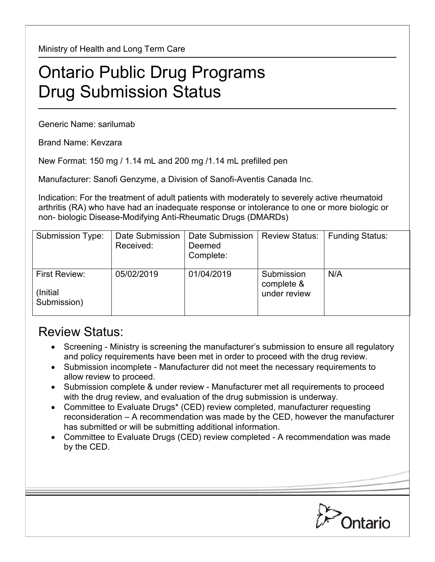Ministry of Health and Long Term Care

## Ontario Public Drug Programs Drug Submission Status

Generic Name: sarilumab

Brand Name: Kevzara

New Format: 150 mg / 1.14 mL and 200 mg /1.14 mL prefilled pen

Manufacturer: Sanofi Genzyme, a Division of Sanofi-Aventis Canada Inc.

Indication: For the treatment of adult patients with moderately to severely active rheumatoid arthritis (RA) who have had an inadequate response or intolerance to one or more biologic or non- biologic Disease-Modifying Anti-Rheumatic Drugs (DMARDs)

| Submission Type:                          | Date Submission<br>Received: | Date Submission<br>Deemed<br>Complete: | <b>Review Status:</b>                    | <b>Funding Status:</b> |
|-------------------------------------------|------------------------------|----------------------------------------|------------------------------------------|------------------------|
| First Review:<br>(Initial)<br>Submission) | 05/02/2019                   | 01/04/2019                             | Submission<br>complete &<br>under review | N/A                    |

## Review Status:

- Screening Ministry is screening the manufacturer's submission to ensure all regulatory and policy requirements have been met in order to proceed with the drug review.
- Submission incomplete Manufacturer did not meet the necessary requirements to allow review to proceed.
- Submission complete & under review Manufacturer met all requirements to proceed with the drug review, and evaluation of the drug submission is underway.
- Committee to Evaluate Drugs\* (CED) review completed, manufacturer requesting reconsideration – A recommendation was made by the CED, however the manufacturer has submitted or will be submitting additional information.
- Committee to Evaluate Drugs (CED) review completed A recommendation was made by the CED.